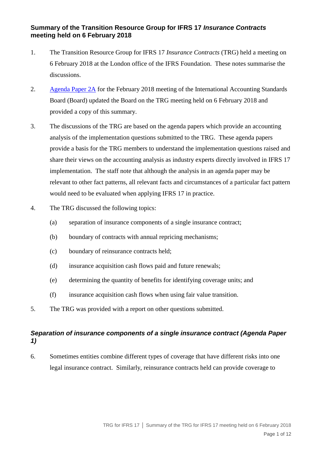#### **Summary of the Transition Resource Group for IFRS 17** *Insurance Contracts* **meeting held on 6 February 2018**

- 1. The Transition Resource Group for IFRS 17 *Insurance Contracts* (TRG) held a meeting on 6 February 2018 at the London office of the IFRS Foundation. These notes summarise the discussions.
- 2. [Agenda Paper 2A](http://www.ifrs.org/-/media/feature/meetings/2018/february/iasb/ap2a-insurance-contracts.pdf) for the February 2018 meeting of the International Accounting Standards Board (Board) updated the Board on the TRG meeting held on 6 February 2018 and provided a copy of this summary.
- 3. The discussions of the TRG are based on the agenda papers which provide an accounting analysis of the implementation questions submitted to the TRG. These agenda papers provide a basis for the TRG members to understand the implementation questions raised and share their views on the accounting analysis as industry experts directly involved in IFRS 17 implementation. The staff note that although the analysis in an agenda paper may be relevant to other fact patterns, all relevant facts and circumstances of a particular fact pattern would need to be evaluated when applying IFRS 17 in practice.
- 4. The TRG discussed the following topics:
	- (a) separation of insurance components of a single insurance contract;
	- (b) boundary of contracts with annual repricing mechanisms;
	- (c) boundary of reinsurance contracts held;
	- (d) insurance acquisition cash flows paid and future renewals;
	- (e) determining the quantity of benefits for identifying coverage units; and
	- (f) insurance acquisition cash flows when using fair value transition.
- 5. The TRG was provided with a report on other questions submitted.

### *Separation of insurance components of a single insurance contract (Agenda Paper 1)*

6. Sometimes entities combine different types of coverage that have different risks into one legal insurance contract. Similarly, reinsurance contracts held can provide coverage to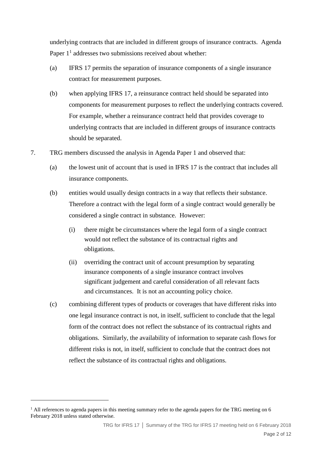underlying contracts that are included in different groups of insurance contracts. Agenda Paper  $1<sup>1</sup>$  addresses two submissions received about whether:

- (a) IFRS 17 permits the separation of insurance components of a single insurance contract for measurement purposes.
- (b) when applying IFRS 17, a reinsurance contract held should be separated into components for measurement purposes to reflect the underlying contracts covered. For example, whether a reinsurance contract held that provides coverage to underlying contracts that are included in different groups of insurance contracts should be separated.
- 7. TRG members discussed the analysis in Agenda Paper 1 and observed that:
	- (a) the lowest unit of account that is used in IFRS 17 is the contract that includes all insurance components.
	- (b) entities would usually design contracts in a way that reflects their substance. Therefore a contract with the legal form of a single contract would generally be considered a single contract in substance. However:
		- (i) there might be circumstances where the legal form of a single contract would not reflect the substance of its contractual rights and obligations.
		- (ii) overriding the contract unit of account presumption by separating insurance components of a single insurance contract involves significant judgement and careful consideration of all relevant facts and circumstances. It is not an accounting policy choice.
	- (c) combining different types of products or coverages that have different risks into one legal insurance contract is not, in itself, sufficient to conclude that the legal form of the contract does not reflect the substance of its contractual rights and obligations. Similarly, the availability of information to separate cash flows for different risks is not, in itself, sufficient to conclude that the contract does not reflect the substance of its contractual rights and obligations.

1

<sup>&</sup>lt;sup>1</sup> All references to agenda papers in this meeting summary refer to the agenda papers for the TRG meeting on 6 February 2018 unless stated otherwise.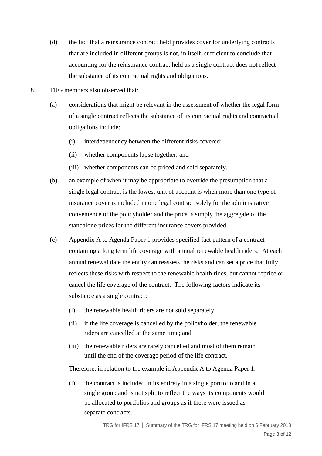- (d) the fact that a reinsurance contract held provides cover for underlying contracts that are included in different groups is not, in itself, sufficient to conclude that accounting for the reinsurance contract held as a single contract does not reflect the substance of its contractual rights and obligations.
- 8. TRG members also observed that:
	- (a) considerations that might be relevant in the assessment of whether the legal form of a single contract reflects the substance of its contractual rights and contractual obligations include:
		- (i) interdependency between the different risks covered;
		- (ii) whether components lapse together; and
		- (iii) whether components can be priced and sold separately.
	- (b) an example of when it may be appropriate to override the presumption that a single legal contract is the lowest unit of account is when more than one type of insurance cover is included in one legal contract solely for the administrative convenience of the policyholder and the price is simply the aggregate of the standalone prices for the different insurance covers provided.
	- (c) Appendix A to Agenda Paper 1 provides specified fact pattern of a contract containing a long term life coverage with annual renewable health riders. At each annual renewal date the entity can reassess the risks and can set a price that fully reflects these risks with respect to the renewable health rides, but cannot reprice or cancel the life coverage of the contract. The following factors indicate its substance as a single contract:
		- (i) the renewable health riders are not sold separately;
		- (ii) if the life coverage is cancelled by the policyholder, the renewable riders are cancelled at the same time; and
		- (iii) the renewable riders are rarely cancelled and most of them remain until the end of the coverage period of the life contract.

Therefore, in relation to the example in Appendix A to Agenda Paper 1:

(i) the contract is included in its entirety in a single portfolio and in a single group and is not split to reflect the ways its components would be allocated to portfolios and groups as if there were issued as separate contracts.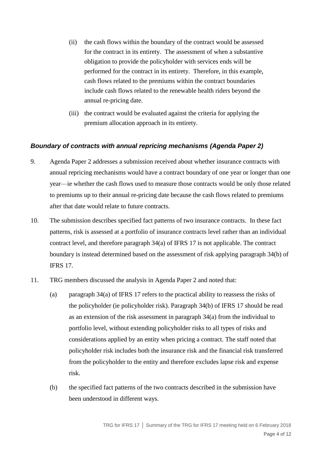- (ii) the cash flows within the boundary of the contract would be assessed for the contract in its entirety. The assessment of when a substantive obligation to provide the policyholder with services ends will be performed for the contract in its entirety. Therefore, in this example, cash flows related to the premiums within the contract boundaries include cash flows related to the renewable health riders beyond the annual re-pricing date.
- (iii) the contract would be evaluated against the criteria for applying the premium allocation approach in its entirety.

#### *Boundary of contracts with annual repricing mechanisms (Agenda Paper 2)*

- 9. Agenda Paper 2 addresses a submission received about whether insurance contracts with annual repricing mechanisms would have a contract boundary of one year or longer than one year—ie whether the cash flows used to measure those contracts would be only those related to premiums up to their annual re-pricing date because the cash flows related to premiums after that date would relate to future contracts.
- 10. The submission describes specified fact patterns of two insurance contracts. In these fact patterns, risk is assessed at a portfolio of insurance contracts level rather than an individual contract level, and therefore paragraph 34(a) of IFRS 17 is not applicable. The contract boundary is instead determined based on the assessment of risk applying paragraph 34(b) of IFRS 17.
- 11. TRG members discussed the analysis in Agenda Paper 2 and noted that:
	- (a) paragraph 34(a) of IFRS 17 refers to the practical ability to reassess the risks of the policyholder (ie policyholder risk). Paragraph 34(b) of IFRS 17 should be read as an extension of the risk assessment in paragraph 34(a) from the individual to portfolio level, without extending policyholder risks to all types of risks and considerations applied by an entity when pricing a contract. The staff noted that policyholder risk includes both the insurance risk and the financial risk transferred from the policyholder to the entity and therefore excludes lapse risk and expense risk.
	- (b) the specified fact patterns of the two contracts described in the submission have been understood in different ways.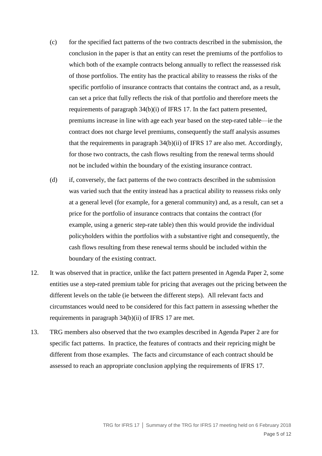- (c) for the specified fact patterns of the two contracts described in the submission, the conclusion in the paper is that an entity can reset the premiums of the portfolios to which both of the example contracts belong annually to reflect the reassessed risk of those portfolios. The entity has the practical ability to reassess the risks of the specific portfolio of insurance contracts that contains the contract and, as a result, can set a price that fully reflects the risk of that portfolio and therefore meets the requirements of paragraph 34(b)(i) of IFRS 17. In the fact pattern presented, premiums increase in line with age each year based on the step-rated table—ie the contract does not charge level premiums, consequently the staff analysis assumes that the requirements in paragraph 34(b)(ii) of IFRS 17 are also met. Accordingly, for those two contracts, the cash flows resulting from the renewal terms should not be included within the boundary of the existing insurance contract.
- (d) if, conversely, the fact patterns of the two contracts described in the submission was varied such that the entity instead has a practical ability to reassess risks only at a general level (for example, for a general community) and, as a result, can set a price for the portfolio of insurance contracts that contains the contract (for example, using a generic step-rate table) then this would provide the individual policyholders within the portfolios with a substantive right and consequently, the cash flows resulting from these renewal terms should be included within the boundary of the existing contract.
- 12. It was observed that in practice, unlike the fact pattern presented in Agenda Paper 2, some entities use a step-rated premium table for pricing that averages out the pricing between the different levels on the table (ie between the different steps). All relevant facts and circumstances would need to be considered for this fact pattern in assessing whether the requirements in paragraph 34(b)(ii) of IFRS 17 are met.
- 13. TRG members also observed that the two examples described in Agenda Paper 2 are for specific fact patterns. In practice, the features of contracts and their repricing might be different from those examples. The facts and circumstance of each contract should be assessed to reach an appropriate conclusion applying the requirements of IFRS 17.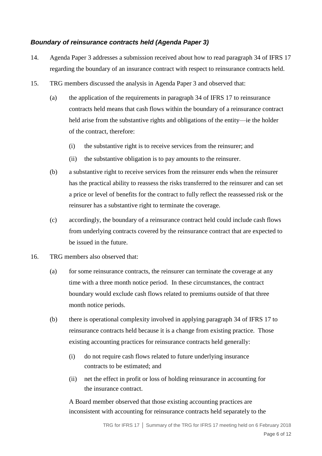## *Boundary of reinsurance contracts held (Agenda Paper 3)*

- 14. Agenda Paper 3 addresses a submission received about how to read paragraph 34 of IFRS 17 regarding the boundary of an insurance contract with respect to reinsurance contracts held.
- 15. TRG members discussed the analysis in Agenda Paper 3 and observed that:
	- (a) the application of the requirements in paragraph 34 of IFRS 17 to reinsurance contracts held means that cash flows within the boundary of a reinsurance contract held arise from the substantive rights and obligations of the entity—ie the holder of the contract, therefore:
		- (i) the substantive right is to receive services from the reinsurer; and
		- (ii) the substantive obligation is to pay amounts to the reinsurer.
	- (b) a substantive right to receive services from the reinsurer ends when the reinsurer has the practical ability to reassess the risks transferred to the reinsurer and can set a price or level of benefits for the contract to fully reflect the reassessed risk or the reinsurer has a substantive right to terminate the coverage.
	- (c) accordingly, the boundary of a reinsurance contract held could include cash flows from underlying contracts covered by the reinsurance contract that are expected to be issued in the future.
- 16. TRG members also observed that:
	- (a) for some reinsurance contracts, the reinsurer can terminate the coverage at any time with a three month notice period. In these circumstances, the contract boundary would exclude cash flows related to premiums outside of that three month notice periods.
	- (b) there is operational complexity involved in applying paragraph 34 of IFRS 17 to reinsurance contracts held because it is a change from existing practice. Those existing accounting practices for reinsurance contracts held generally:
		- (i) do not require cash flows related to future underlying insurance contracts to be estimated; and
		- (ii) net the effect in profit or loss of holding reinsurance in accounting for the insurance contract.

A Board member observed that those existing accounting practices are inconsistent with accounting for reinsurance contracts held separately to the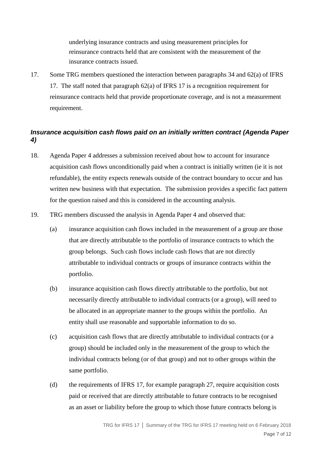underlying insurance contracts and using measurement principles for reinsurance contracts held that are consistent with the measurement of the insurance contracts issued.

17. Some TRG members questioned the interaction between paragraphs 34 and 62(a) of IFRS 17. The staff noted that paragraph 62(a) of IFRS 17 is a recognition requirement for reinsurance contracts held that provide proportionate coverage, and is not a measurement requirement.

## *Insurance acquisition cash flows paid on an initially written contract (Agenda Paper 4)*

- 18. Agenda Paper 4 addresses a submission received about how to account for insurance acquisition cash flows unconditionally paid when a contract is initially written (ie it is not refundable), the entity expects renewals outside of the contract boundary to occur and has written new business with that expectation. The submission provides a specific fact pattern for the question raised and this is considered in the accounting analysis.
- 19. TRG members discussed the analysis in Agenda Paper 4 and observed that:
	- (a) insurance acquisition cash flows included in the measurement of a group are those that are directly attributable to the portfolio of insurance contracts to which the group belongs. Such cash flows include cash flows that are not directly attributable to individual contracts or groups of insurance contracts within the portfolio.
	- (b) insurance acquisition cash flows directly attributable to the portfolio, but not necessarily directly attributable to individual contracts (or a group), will need to be allocated in an appropriate manner to the groups within the portfolio. An entity shall use reasonable and supportable information to do so.
	- (c) acquisition cash flows that are directly attributable to individual contracts (or a group) should be included only in the measurement of the group to which the individual contracts belong (or of that group) and not to other groups within the same portfolio.
	- (d) the requirements of IFRS 17, for example paragraph 27, require acquisition costs paid or received that are directly attributable to future contracts to be recognised as an asset or liability before the group to which those future contracts belong is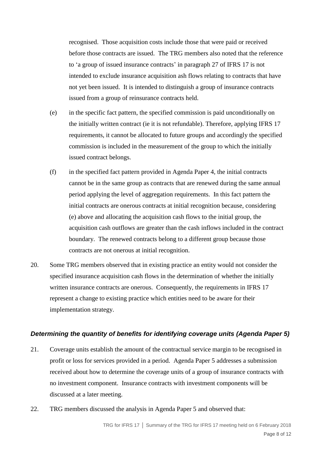recognised. Those acquisition costs include those that were paid or received before those contracts are issued. The TRG members also noted that the reference to 'a group of issued insurance contracts' in paragraph 27 of IFRS 17 is not intended to exclude insurance acquisition ash flows relating to contracts that have not yet been issued. It is intended to distinguish a group of insurance contracts issued from a group of reinsurance contracts held.

- (e) in the specific fact pattern, the specified commission is paid unconditionally on the initially written contract (ie it is not refundable). Therefore, applying IFRS 17 requirements, it cannot be allocated to future groups and accordingly the specified commission is included in the measurement of the group to which the initially issued contract belongs.
- (f) in the specified fact pattern provided in Agenda Paper 4, the initial contracts cannot be in the same group as contracts that are renewed during the same annual period applying the level of aggregation requirements. In this fact pattern the initial contracts are onerous contracts at initial recognition because, considering (e) above and allocating the acquisition cash flows to the initial group, the acquisition cash outflows are greater than the cash inflows included in the contract boundary. The renewed contracts belong to a different group because those contracts are not onerous at initial recognition.
- 20. Some TRG members observed that in existing practice an entity would not consider the specified insurance acquisition cash flows in the determination of whether the initially written insurance contracts are onerous. Consequently, the requirements in IFRS 17 represent a change to existing practice which entities need to be aware for their implementation strategy.

#### *Determining the quantity of benefits for identifying coverage units (Agenda Paper 5)*

- 21. Coverage units establish the amount of the contractual service margin to be recognised in profit or loss for services provided in a period. Agenda Paper 5 addresses a submission received about how to determine the coverage units of a group of insurance contracts with no investment component. Insurance contracts with investment components will be discussed at a later meeting.
- 22. TRG members discussed the analysis in Agenda Paper 5 and observed that: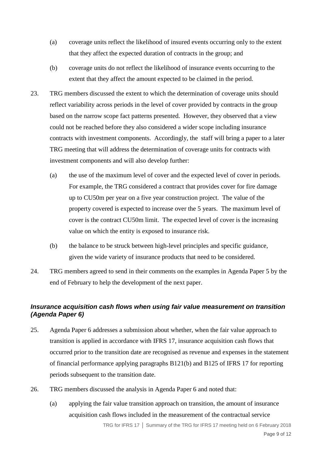- (a) coverage units reflect the likelihood of insured events occurring only to the extent that they affect the expected duration of contracts in the group; and
- (b) coverage units do not reflect the likelihood of insurance events occurring to the extent that they affect the amount expected to be claimed in the period.
- 23. TRG members discussed the extent to which the determination of coverage units should reflect variability across periods in the level of cover provided by contracts in the group based on the narrow scope fact patterns presented. However, they observed that a view could not be reached before they also considered a wider scope including insurance contracts with investment components. Accordingly, the staff will bring a paper to a later TRG meeting that will address the determination of coverage units for contracts with investment components and will also develop further:
	- (a) the use of the maximum level of cover and the expected level of cover in periods. For example, the TRG considered a contract that provides cover for fire damage up to CU50m per year on a five year construction project. The value of the property covered is expected to increase over the 5 years. The maximum level of cover is the contract CU50m limit. The expected level of cover is the increasing value on which the entity is exposed to insurance risk.
	- (b) the balance to be struck between high-level principles and specific guidance, given the wide variety of insurance products that need to be considered.
- 24. TRG members agreed to send in their comments on the examples in Agenda Paper 5 by the end of February to help the development of the next paper.

## *Insurance acquisition cash flows when using fair value measurement on transition (Agenda Paper 6)*

- 25. Agenda Paper 6 addresses a submission about whether, when the fair value approach to transition is applied in accordance with IFRS 17, insurance acquisition cash flows that occurred prior to the transition date are recognised as revenue and expenses in the statement of financial performance applying paragraphs B121(b) and B125 of IFRS 17 for reporting periods subsequent to the transition date.
- 26. TRG members discussed the analysis in Agenda Paper 6 and noted that:
	- (a) applying the fair value transition approach on transition, the amount of insurance acquisition cash flows included in the measurement of the contractual service

TRG for IFRS 17 **│** Summary of the TRG for IFRS 17 meeting held on 6 February 2018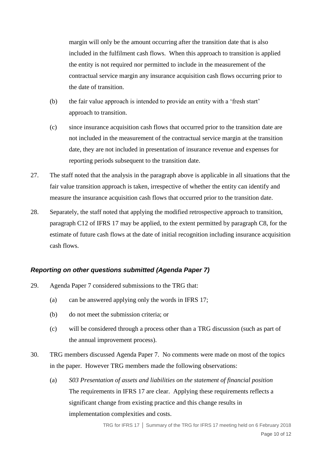margin will only be the amount occurring after the transition date that is also included in the fulfilment cash flows. When this approach to transition is applied the entity is not required nor permitted to include in the measurement of the contractual service margin any insurance acquisition cash flows occurring prior to the date of transition.

- (b) the fair value approach is intended to provide an entity with a 'fresh start' approach to transition.
- (c) since insurance acquisition cash flows that occurred prior to the transition date are not included in the measurement of the contractual service margin at the transition date, they are not included in presentation of insurance revenue and expenses for reporting periods subsequent to the transition date.
- 27. The staff noted that the analysis in the paragraph above is applicable in all situations that the fair value transition approach is taken, irrespective of whether the entity can identify and measure the insurance acquisition cash flows that occurred prior to the transition date.
- 28. Separately, the staff noted that applying the modified retrospective approach to transition, paragraph C12 of IFRS 17 may be applied, to the extent permitted by paragraph C8, for the estimate of future cash flows at the date of initial recognition including insurance acquisition cash flows.

#### *Reporting on other questions submitted (Agenda Paper 7)*

- 29. Agenda Paper 7 considered submissions to the TRG that:
	- (a) can be answered applying only the words in IFRS 17;
	- (b) do not meet the submission criteria; or
	- (c) will be considered through a process other than a TRG discussion (such as part of the annual improvement process).
- 30. TRG members discussed Agenda Paper 7. No comments were made on most of the topics in the paper. However TRG members made the following observations:
	- (a) *S03 Presentation of assets and liabilities on the statement of financial position* The requirements in IFRS 17 are clear. Applying these requirements reflects a significant change from existing practice and this change results in implementation complexities and costs.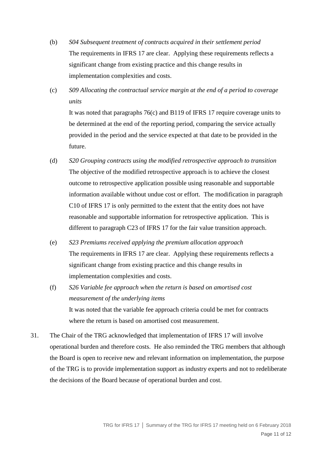- (b) *S04 Subsequent treatment of contracts acquired in their settlement period* The requirements in IFRS 17 are clear. Applying these requirements reflects a significant change from existing practice and this change results in implementation complexities and costs.
- (c) *S09 Allocating the contractual service margin at the end of a period to coverage units*

It was noted that paragraphs 76(c) and B119 of IFRS 17 require coverage units to be determined at the end of the reporting period, comparing the service actually provided in the period and the service expected at that date to be provided in the future.

- (d) *S20 Grouping contracts using the modified retrospective approach to transition* The objective of the modified retrospective approach is to achieve the closest outcome to retrospective application possible using reasonable and supportable information available without undue cost or effort. The modification in paragraph C10 of IFRS 17 is only permitted to the extent that the entity does not have reasonable and supportable information for retrospective application. This is different to paragraph C23 of IFRS 17 for the fair value transition approach.
- (e) *S23 Premiums received applying the premium allocation approach* The requirements in IFRS 17 are clear. Applying these requirements reflects a significant change from existing practice and this change results in implementation complexities and costs.
- (f) *S26 Variable fee approach when the return is based on amortised cost measurement of the underlying items* It was noted that the variable fee approach criteria could be met for contracts where the return is based on amortised cost measurement.
- 31. The Chair of the TRG acknowledged that implementation of IFRS 17 will involve operational burden and therefore costs. He also reminded the TRG members that although the Board is open to receive new and relevant information on implementation, the purpose of the TRG is to provide implementation support as industry experts and not to redeliberate the decisions of the Board because of operational burden and cost.